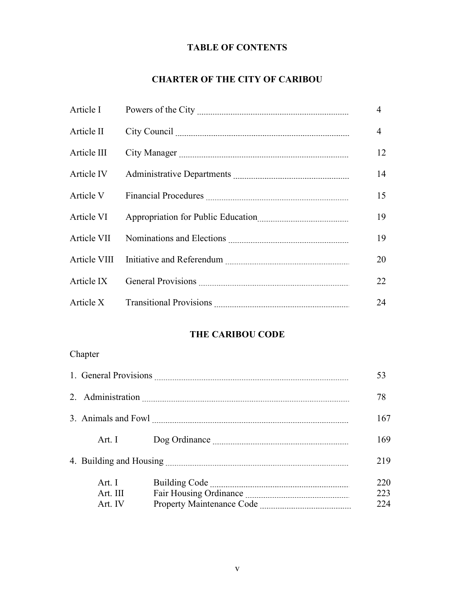## TABLE OF CONTENTS

## CHARTER OF THE CITY OF CARIBOU

| Article I   | $\overline{4}$ |
|-------------|----------------|
| Article II  | $\overline{4}$ |
| Article III | 12             |
| Article IV  | 14             |
| Article V   | 15             |
| Article VI  | 19             |
| Article VII | 19             |
|             | 20             |
| Article IX  | 22             |
| Article X   | 24             |

## THE CARIBOU CODE

## Chapter

|                               |  | 53                |
|-------------------------------|--|-------------------|
|                               |  | 78                |
|                               |  | 167               |
| Art. I                        |  | 169               |
|                               |  |                   |
| Art. I<br>Art. III<br>Art. IV |  | 220<br>223<br>224 |
|                               |  |                   |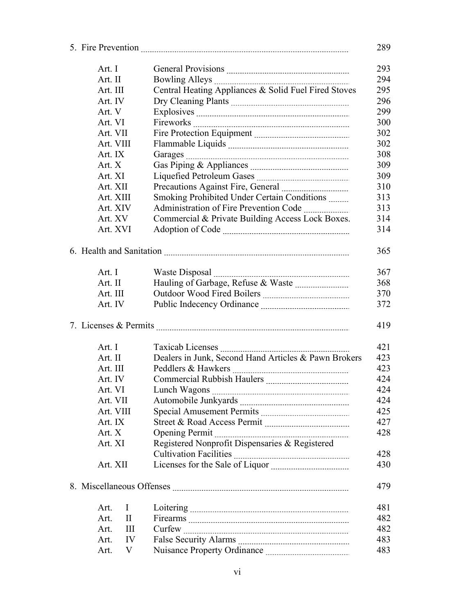| 293<br>Art. I<br>294<br>Art. II<br>Central Heating Appliances & Solid Fuel Fired Stoves<br>295<br>Art. III |  |
|------------------------------------------------------------------------------------------------------------|--|
|                                                                                                            |  |
|                                                                                                            |  |
|                                                                                                            |  |
| 296<br>Art. IV                                                                                             |  |
| 299<br>Art. V                                                                                              |  |
| Art. VI<br>300                                                                                             |  |
| Art. VII<br>302                                                                                            |  |
| 302<br>Art. VIII                                                                                           |  |
| 308<br>Art. IX                                                                                             |  |
| Art. X<br>309                                                                                              |  |
| 309<br>Art. XI                                                                                             |  |
| 310<br>Art. XII                                                                                            |  |
| Smoking Prohibited Under Certain Conditions<br>313<br>Art. XIII                                            |  |
| Art. XIV<br>313                                                                                            |  |
| Commercial & Private Building Access Lock Boxes.<br>Art. XV<br>314                                         |  |
| Art. XVI<br>314                                                                                            |  |
|                                                                                                            |  |
| 365                                                                                                        |  |
|                                                                                                            |  |
| 367<br>Art. I<br>Waste Disposal                                                                            |  |
| 368<br>Art. II                                                                                             |  |
| Art. III<br>370                                                                                            |  |
| 372<br>Art. IV                                                                                             |  |
| 419                                                                                                        |  |
| Art. I<br>421                                                                                              |  |
| Dealers in Junk, Second Hand Articles & Pawn Brokers<br>Art. II<br>423                                     |  |
| Art. III<br>423                                                                                            |  |
| Art. IV<br>424                                                                                             |  |
| 424<br>Art. VI                                                                                             |  |
| Art. VII<br>424                                                                                            |  |
| Art. VIII<br>425                                                                                           |  |
| 427<br>Art. IX                                                                                             |  |
| Art. X<br>428                                                                                              |  |
| Registered Nonprofit Dispensaries & Registered<br>Art. XI                                                  |  |
| 428                                                                                                        |  |
| Art. XII<br>430                                                                                            |  |
|                                                                                                            |  |
| 479                                                                                                        |  |
| 481<br>Art.<br>I                                                                                           |  |
| 482<br>Art.<br>$\mathbf{I}$                                                                                |  |
| 482<br>Ш<br>Art.                                                                                           |  |
| 483<br>IV<br>Art.                                                                                          |  |
| V<br>483<br>Art.                                                                                           |  |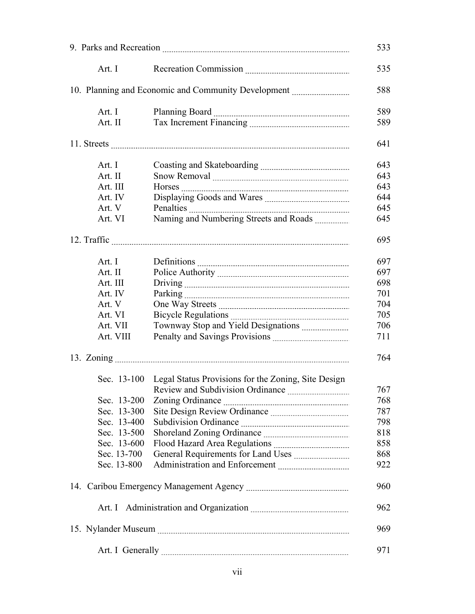|  |                            | 533                                                             |            |
|--|----------------------------|-----------------------------------------------------------------|------------|
|  | Art. I                     |                                                                 | 535        |
|  |                            | 10. Planning and Economic and Community Development             | 588        |
|  | Art. I<br>Art. II          |                                                                 | 589<br>589 |
|  |                            |                                                                 |            |
|  |                            |                                                                 | 641        |
|  | Art. I                     |                                                                 | 643        |
|  | Art. II                    |                                                                 | 643        |
|  | Art. III                   |                                                                 | 643        |
|  | Art. IV                    |                                                                 | 644        |
|  | Art. V                     |                                                                 | 645        |
|  | Art. VI                    |                                                                 | 645        |
|  |                            |                                                                 | 695        |
|  | Art. I                     |                                                                 | 697        |
|  |                            |                                                                 |            |
|  | Art. II                    |                                                                 | 697        |
|  | Art. III                   |                                                                 | 698        |
|  | Art. IV                    |                                                                 | 701        |
|  | Art. V                     |                                                                 | 704        |
|  | Art. VI                    |                                                                 | 705        |
|  | Art. VII                   |                                                                 | 706        |
|  | Art. VIII                  |                                                                 | 711        |
|  |                            |                                                                 | 764        |
|  |                            | Sec. 13-100 Legal Status Provisions for the Zoning, Site Design |            |
|  |                            |                                                                 | 767        |
|  | Sec. 13-200                |                                                                 | 768        |
|  | Sec. 13-300                |                                                                 | 787        |
|  | Sec. 13-400                |                                                                 | 798        |
|  | Sec. 13-500                |                                                                 | 818        |
|  | Sec. 13-600                |                                                                 | 858        |
|  |                            |                                                                 |            |
|  | Sec. 13-700<br>Sec. 13-800 |                                                                 | 868<br>922 |
|  |                            |                                                                 |            |
|  |                            |                                                                 | 960        |
|  |                            |                                                                 | 962        |
|  |                            |                                                                 | 969        |
|  |                            |                                                                 | 971        |